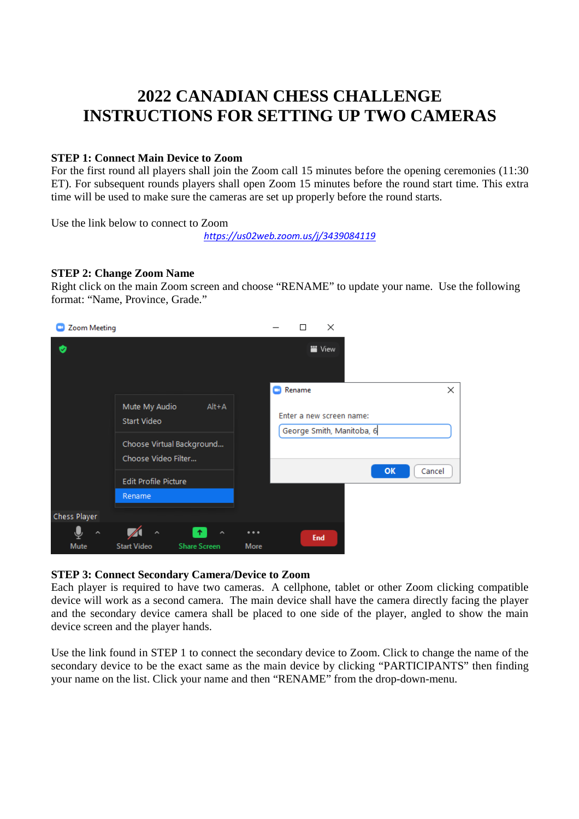# **2022 CANADIAN CHESS CHALLENGE INSTRUCTIONS FOR SETTING UP TWO CAMERAS**

### **STEP 1: Connect Main Device to Zoom**

For the first round all players shall join the Zoom call 15 minutes before the opening ceremonies (11:30 ET). For subsequent rounds players shall open Zoom 15 minutes before the round start time. This extra time will be used to make sure the cameras are set up properly before the round starts.

Use the link below to connect to Zoom

*https://us02web.zoom.us/j/3439084119*

#### **STEP 2: Change Zoom Name**

Right click on the main Zoom screen and choose "RENAME" to update your name. Use the following format: "Name, Province, Grade."



#### **STEP 3: Connect Secondary Camera/Device to Zoom**

Each player is required to have two cameras. A cellphone, tablet or other Zoom clicking compatible device will work as a second camera. The main device shall have the camera directly facing the player and the secondary device camera shall be placed to one side of the player, angled to show the main device screen and the player hands.

Use the link found in STEP 1 to connect the secondary device to Zoom. Click to change the name of the secondary device to be the exact same as the main device by clicking "PARTICIPANTS" then finding your name on the list. Click your name and then "RENAME" from the drop-down-menu.